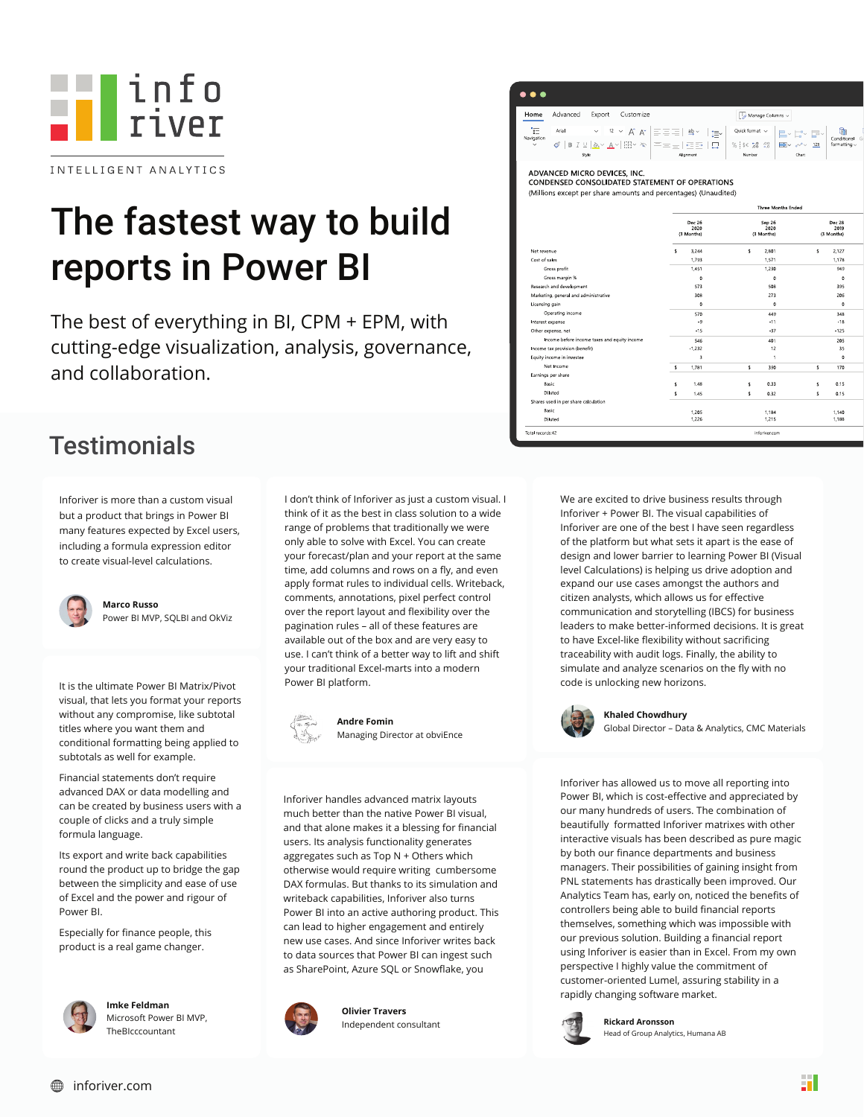

# The fastest way to build reports in Power BI

The best of everything in BI, CPM + EPM, with cutting-edge visualization, analysis, governance, and collaboration.

#### **Testimonials**

Inforiver is more than a custom visual but a product that brings in Power BI many features expected by Excel users, including a formula expression editor to create visual-level calculations.



**Marco Russo** Power BI MVP, SQLBI and OkViz

It is the ultimate Power BI Matrix/Pivot visual, that lets you format your reports without any compromise, like subtotal titles where you want them and conditional formatting being applied to subtotals as well for example.

Financial statements don't require advanced DAX or data modelling and can be created by business users with a couple of clicks and a truly simple formula language.

Its export and write back capabilities round the product up to bridge the gap between the simplicity and ease of use of Excel and the power and rigour of Power BI.

Especially for finance people, this product is a real game changer.



**Imke Feldman** Microsoft Power BI MVP, TheBIcccountant

I don't think of Inforiver as just a custom visual. I think of it as the best in class solution to a wide range of problems that traditionally we were only able to solve with Excel. You can create your forecast/plan and your report at the same time, add columns and rows on a fly, and even apply format rules to individual cells. Writeback, comments, annotations, pixel perfect control over the report layout and flexibility over the pagination rules – all of these features are available out of the box and are very easy to use. I can't think of a better way to lift and shift your traditional Excel-marts into a modern Power BI platform.



**Andre Fomin**  Managing Director at obviEnce

Inforiver handles advanced matrix layouts much better than the native Power BI visual, and that alone makes it a blessing for financial users. Its analysis functionality generates aggregates such as Top N + Others which otherwise would require writing cumbersome DAX formulas. But thanks to its simulation and writeback capabilities, Inforiver also turns Power BI into an active authoring product. This can lead to higher engagement and entirely new use cases. And since Inforiver writes back to data sources that Power BI can ingest such as SharePoint, Azure SQL or Snowflake, you



**Olivier Travers** Independent consultant



CONDENSED CONSOLIDATED STATEMENT OF OPERATIONS

(Millions except per share amounts and percentages) (Unaudited)

|                                              | <b>Three Months Ended</b>    |            |                              |                |                              |          |  |
|----------------------------------------------|------------------------------|------------|------------------------------|----------------|------------------------------|----------|--|
|                                              | Dec 26<br>2020<br>(3 Months) |            | Sep 26<br>2020<br>(3 Months) |                | Dec 28<br>2019<br>(3 Months) |          |  |
| Net revenue                                  | $\ddot{\mathbf{S}}$          | 3.244      | š.                           | 2.801          | Ś                            | 2.127    |  |
| Cost of sales                                |                              | 1,793      |                              | 1,571          |                              | 1,178    |  |
| Gross profit                                 | 1,451                        |            | 1,230                        |                | 949                          |          |  |
| Gross margin %                               |                              | $^{\circ}$ |                              | $\circ$        |                              | $\Omega$ |  |
| Research and development                     |                              | 573        |                              | 508            |                              | 395      |  |
| Marketing, general and administrative        |                              | 308        |                              | 273            |                              | 206      |  |
| Licensing gain                               |                              | $\Omega$   |                              | $\circ$        |                              | $\Omega$ |  |
| Operating income                             |                              | 570        |                              | 449            |                              | 348      |  |
| Interest expense                             |                              | $-9$       | $-11$                        |                | $-18$                        |          |  |
| Other expense, net                           | $-15$                        |            | $-37$                        |                | $-125$                       |          |  |
| Income before income taxes and equity income |                              | 546        |                              | 401            |                              | 205      |  |
| Income tax provision (benefit)               |                              | $-1.232$   |                              | 12             |                              | 35       |  |
| Equity income in investee                    |                              | 3          |                              | $\overline{1}$ |                              | $\Omega$ |  |
| Net Income                                   | \$                           | 1.781      | s.                           | 390            | s.                           | 170      |  |
| Earnings per share                           |                              |            |                              |                |                              |          |  |
| Basic                                        | ś                            | 1.48       | s.                           | 0.33           | s                            | 0.15     |  |
| Diluted                                      | \$                           | 1.45       | s                            | 0.32           | s                            | 0.15     |  |
| Shares used in per share calculation         |                              |            |                              |                |                              |          |  |
| <b>Basic</b>                                 |                              | 1.205      |                              | 1,184          |                              | 1,140    |  |
| Diluted                                      |                              | 1,226      |                              | 1,215          |                              | 1,188    |  |
| Total records:42                             |                              |            |                              | inforiver.com  |                              |          |  |

We are excited to drive business results through Inforiver + Power BI. The visual capabilities of Inforiver are one of the best I have seen regardless of the platform but what sets it apart is the ease of design and lower barrier to learning Power BI (Visual level Calculations) is helping us drive adoption and expand our use cases amongst the authors and citizen analysts, which allows us for effective communication and storytelling (IBCS) for business leaders to make better-informed decisions. It is great to have Excel-like flexibility without sacrificing traceability with audit logs. Finally, the ability to simulate and analyze scenarios on the fly with no code is unlocking new horizons.



#### **Khaled Chowdhury**

Global Director – Data & Analytics, CMC Materials

Inforiver has allowed us to move all reporting into Power BI, which is cost-effective and appreciated by our many hundreds of users. The combination of beautifully formatted Inforiver matrixes with other interactive visuals has been described as pure magic by both our finance departments and business managers. Their possibilities of gaining insight from PNL statements has drastically been improved. Our Analytics Team has, early on, noticed the benefits of controllers being able to build financial reports themselves, something which was impossible with our previous solution. Building a financial report using Inforiver is easier than in Excel. From my own perspective I highly value the commitment of customer-oriented Lumel, assuring stability in a rapidly changing software market.



**Rickard Aronsson** Head of Group Analytics, Humana AB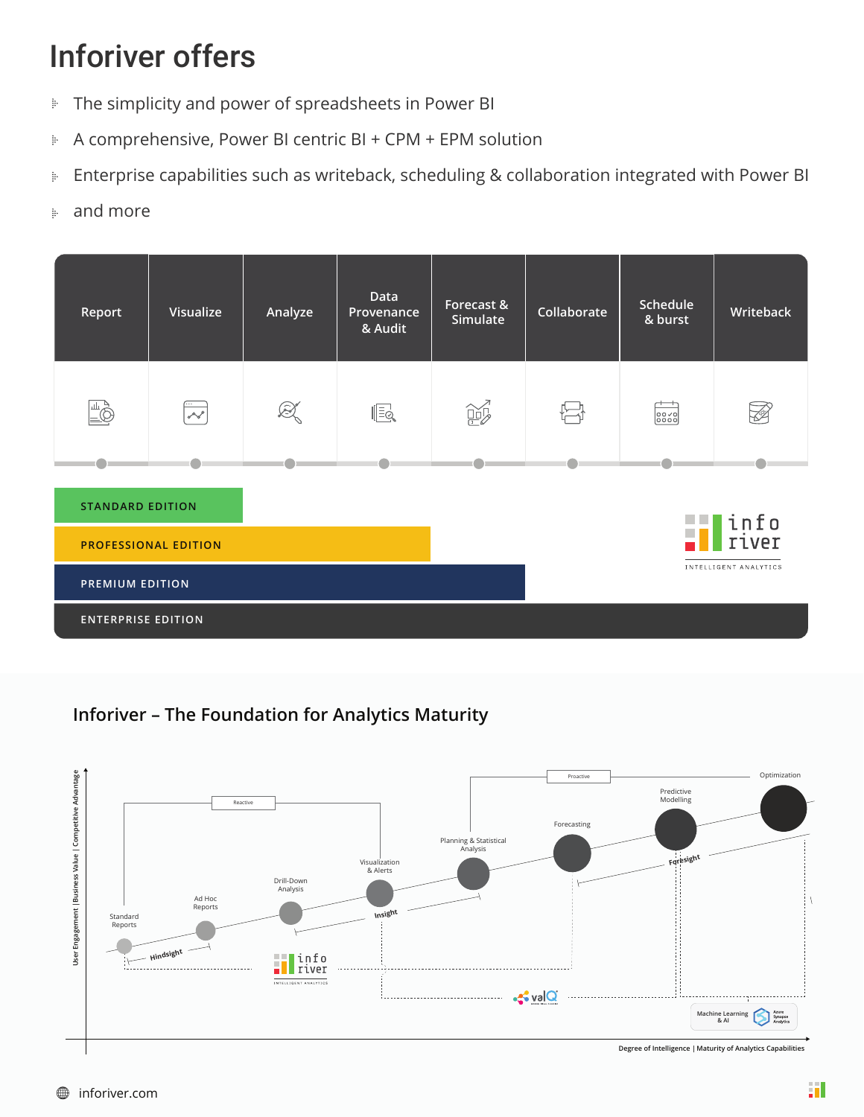## Inforiver offers

- The simplicity and power of spreadsheets in Power BI þ
- A comprehensive, Power BI centric BI + CPM + EPM solution ļ.
- Enterprise capabilities such as writeback, scheduling & collaboration integrated with Power BI þ
- and more ţ.

| Report                                                                    | Visualize                     | Analyze | <b>Data</b><br>Provenance<br>& Audit | Forecast &<br>Simulate | Collaborate | Schedule<br>& burst                                                                   | Writeback |
|---------------------------------------------------------------------------|-------------------------------|---------|--------------------------------------|------------------------|-------------|---------------------------------------------------------------------------------------|-----------|
|                                                                           | $\overline{\cdots}$<br>$\sim$ | Q       | $\sqrt{2}$                           | $\mathbb{B}$           |             | $\begin{bmatrix} 0 & 0 & \sqrt{0} \\ 0 & 0 & 0 & 0 \\ 0 & 0 & 0 & 0 \\ \end{bmatrix}$ |           |
|                                                                           |                               |         |                                      |                        |             |                                                                                       |           |
| <b>STANDARD EDITION</b><br> info<br> river<br><b>PROFESSIONAL EDITION</b> |                               |         |                                      |                        |             |                                                                                       |           |
| INTELLIGENT ANALYTICS<br><b>PREMIUM EDITION</b>                           |                               |         |                                      |                        |             |                                                                                       |           |
| <b>ENTERPRISE EDITION</b>                                                 |                               |         |                                      |                        |             |                                                                                       |           |

**Inforiver – The Foundation for Analytics Maturity**

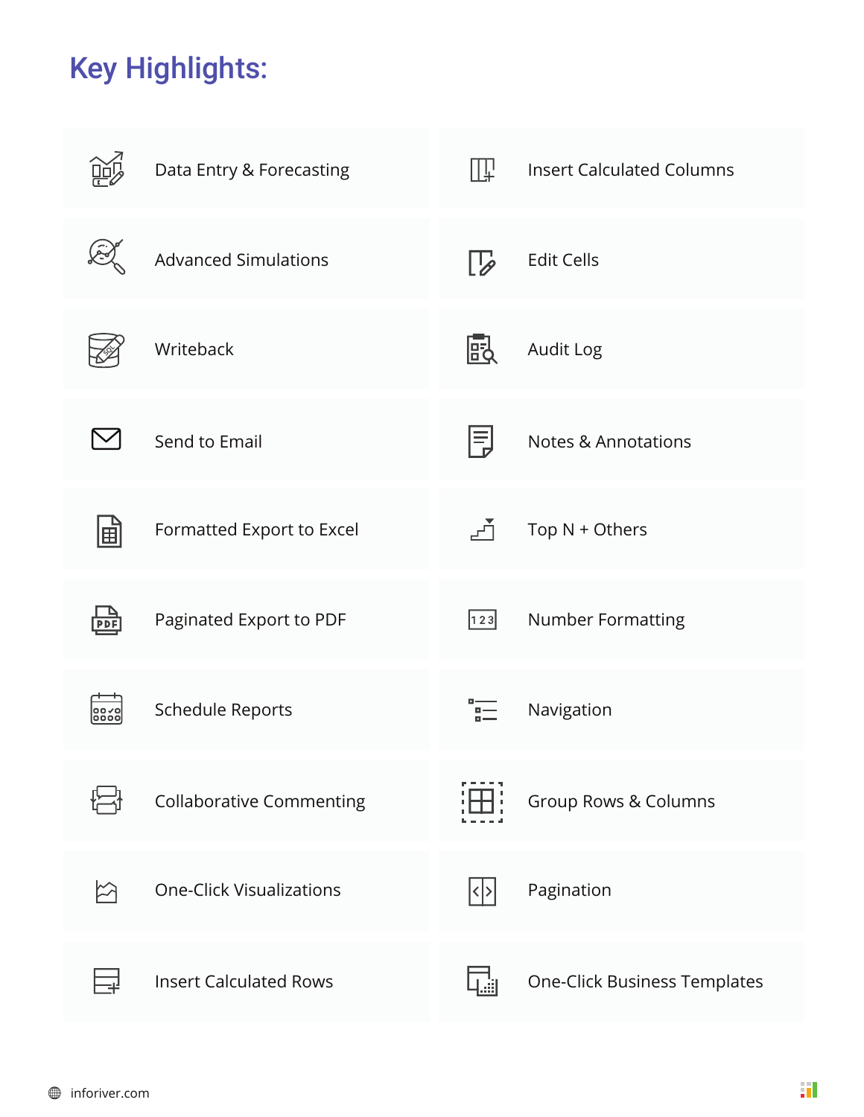## Key Highlights:

|           | Data Entry & Forecasting        | TШ                   | <b>Insert Calculated Columns</b>    |
|-----------|---------------------------------|----------------------|-------------------------------------|
|           | <b>Advanced Simulations</b>     | $\mathcal{L}$        | <b>Edit Cells</b>                   |
|           | Writeback                       | 閊                    | Audit Log                           |
|           | Send to Email                   | Ę                    | <b>Notes &amp; Annotations</b>      |
| 国         | Formatted Export to Excel       | ⊬∱                   | Top $N +$ Others                    |
|           | Paginated Export to PDF         | $\vert 123 \vert$    | Number Formatting                   |
| oooc      | <b>Schedule Reports</b>         |                      | Navigation                          |
|           | <b>Collaborative Commenting</b> | H                    | Group Rows & Columns                |
| $\approx$ | <b>One-Click Visualizations</b> | $ \mathbf{<} $ > $ $ | Pagination                          |
|           | <b>Insert Calculated Rows</b>   |                      | <b>One-Click Business Templates</b> |